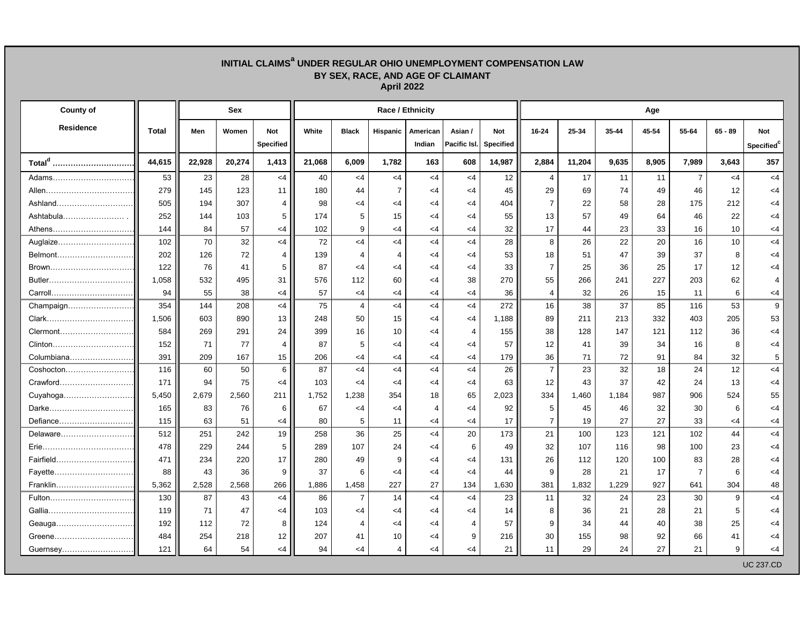## **INITIAL CLAIMS<sup>a</sup> UNDER REGULAR OHIO UNEMPLOYMENT COMPENSATION LAW BY SEX, RACE, AND AGE OF CLAIMANT April 2022**

| <b>County of</b>       |              | <b>Sex</b> |        |                  | <b>Race / Ethnicity</b> |                          |          |          |              |                  |                | Age    |       |       |                |           |                  |  |  |  |
|------------------------|--------------|------------|--------|------------------|-------------------------|--------------------------|----------|----------|--------------|------------------|----------------|--------|-------|-------|----------------|-----------|------------------|--|--|--|
| Residence              | <b>Total</b> | Men        | Women  | <b>Not</b>       | White                   | <b>Black</b>             | Hispanic | American | Asian /      | <b>Not</b>       | 16-24          | 25-34  | 35-44 | 45-54 | 55-64          | $65 - 89$ | <b>Not</b>       |  |  |  |
|                        |              |            |        | <b>Specified</b> |                         |                          |          | Indian   | Pacific Isl. | <b>Specified</b> |                |        |       |       |                |           | Specified        |  |  |  |
| Total <sup>d</sup><br> | 44,615       | 22,928     | 20,274 | 1,413            | 21,068                  | 6,009                    | 1,782    | 163      | 608          | 14,987           | 2,884          | 11,204 | 9,635 | 8,905 | 7,989          | 3,643     | 357              |  |  |  |
| Adams                  | 53           | 23         | 28     | $<$ 4            | 40                      | $<$ 4                    | $<$ 4    | $<$ 4    | $<$ 4        | 12               | $\overline{4}$ | 17     | 11    | 11    | $\overline{7}$ | $<$ 4     | $\leq 4$         |  |  |  |
| Allen                  | 279          | 145        | 123    | 11               | 180                     | 44                       |          | <4       | $\leq$ 4     | 45               | 29             | 69     | 74    | 49    | 46             | 12        | <4               |  |  |  |
| Ashland                | 505          | 194        | 307    |                  | 98                      | <4                       | <4       | <4       | <4           | 404              |                | 22     | 58    | 28    | 175            | 212       | <4               |  |  |  |
| Ashtabula              | 252          | 144        | 103    | 5                | 174                     | 5                        | 15       | <4       | <4           | 55               | 13             | 57     | 49    | 64    | 46             | 22        | $\leq$ 4         |  |  |  |
| Athens                 | 144          | 84         | 57     | $<$ 4            | 102                     | 9                        | <4       | <4       | $\leq$ 4     | 32               | 17             | 44     | 23    | 33    | 16             | 10        | <4               |  |  |  |
| Auglaize               | 102          | 70         | 32     | $<$ 4            | 72                      | <4                       | $\leq$ 4 | $<$ 4    | $<$ 4        | 28               | 8              | 26     | 22    | 20    | 16             | 10        | $\leq 4$         |  |  |  |
| Belmont                | 202          | 126        | 72     |                  | 139                     | $\boldsymbol{\varDelta}$ |          | <4       | <4           | 53               | 18             | 51     | 47    | 39    | 37             | 8         | <4               |  |  |  |
| Brown                  | 122          | 76         | 41     | 5                | 87                      | <4                       | <4       | <4       | <4           | 33               |                | 25     | 36    | 25    | 17             | 12        | <4               |  |  |  |
| Butler                 | 1,058        | 532        | 495    | 31               | 576                     | 112                      | 60       | <4       | 38           | 270              | 55             | 266    | 241   | 227   | 203            | 62        |                  |  |  |  |
|                        | 94           | 55         | 38     | $\leq$ 4         | 57                      | <4                       | <4       | <4       | $\leq$ 4     | 36               |                | 32     | 26    | 15    | 11             | 6         | <4               |  |  |  |
| Champaign              | 354          | 144        | 208    | $<$ 4            | 75                      | $\overline{4}$           | $<$ 4    | $<$ 4    | $<$ 4        | 272              | 16             | 38     | 37    | 85    | 116            | 53        | 9                |  |  |  |
|                        | 1,506        | 603        | 890    | 13 <sup>2</sup>  | 248                     | 50                       | 15       | <4       | $\leq$ 4     | 1,188            | 89             | 211    | 213   | 332   | 403            | 205       | 53               |  |  |  |
| Clermont               | 584          | 269        | 291    | 24               | 399                     | 16                       | 10       | <4       | 4            | 155              | 38             | 128    | 147   | 121   | 112            | 36        | <4               |  |  |  |
| Clinton                | 152          | 71         | 77     |                  | 87                      | 5                        | <4       | <4       | <4           | 57               | 12             | 41     | 39    | 34    | 16             |           | <4               |  |  |  |
| Columbiana             | 391          | 209        | 167    | 15               | 206                     | <4                       | <4       | $<$ 4    | $\leq$ 4     | 179              | 36             | 71     | 72    | 91    | 84             | 32        | 5                |  |  |  |
| Coshocton              | 116          | 60         | 50     | 6                | 87                      | <4                       | $\leq$ 4 | $<$ 4    | $<$ 4        | 26               | $\overline{7}$ | 23     | 32    | 18    | 24             | 12        | $\leq 4$         |  |  |  |
| Crawford               | 171          | 94         | 75     | $\leq$ 4         | 103                     | <4                       | <4       | <4       | $\leq$ 4     | 63               | 12             | 43     | 37    | 42    | 24             | 13        | <4               |  |  |  |
| Cuyahoga               | 5,450        | 2,679      | 2,560  | 211              | 1,752                   | 1,238                    | 354      | 18       | 65           | 2,023            | 334            | 1,460  | 1,184 | 987   | 906            | 524       | 55               |  |  |  |
| Darke.                 | 165          | 83         | 76     | 6                | 67                      | <4                       | <4       | 4        | <4           | 92               | 5              | 45     | 46    | 32    | 30             | 6         | <4               |  |  |  |
| Defiance               | 115          | 63         | 51     | <4               | 80                      | 5                        | 11       | <4       | $\leq$ 4     | 17               | 7              | 19     | 27    | 27    | 33             | <4        | <4               |  |  |  |
| Delaware               | 512          | 251        | 242    | 19               | 258                     | 36                       | 25       | $\leq 4$ | 20           | 173              | 21             | 100    | 123   | 121   | 102            | 44        | $<$ 4            |  |  |  |
|                        | 478          | 229        | 244    | 5 I              | 289                     | 107                      | 24       | <4       | 6            | 49               | 32             | 107    | 116   | 98    | 100            | 23        | <4               |  |  |  |
| Fairfield              | 471          | 234        | 220    | 17 <sup>1</sup>  | 280                     | 49                       | 9        | <4       | $<$ 4        | 131              | 26             | 112    | 120   | 100   | 83             | 28        | $<$ 4            |  |  |  |
|                        | 88           | 43         | 36     | 9                | 37                      | 6                        | <4       | $<$ 4    | $<$ 4        | 44               | 9              | 28     | 21    | 17    | $\overline{7}$ |           | $<$ 4            |  |  |  |
| Franklin               | 5,362        | 2,528      | 2,568  | 266              | 1,886                   | 1,458                    | 227      | 27       | 134          | 1,630            | 381            | 1,832  | 1,229 | 927   | 641            | 304       | 48               |  |  |  |
| Fulton                 | 130          | 87         | 43     | $\leq 4$         | 86                      | $\overline{7}$           | 14       | $<$ 4    | $\leq$ 4     | 23               | 11             | 32     | 24    | 23    | 30             | 9         | $<$ 4            |  |  |  |
|                        | 119          | 71         | 47     | $<$ 4            | 103                     | $<$ 4                    | $\leq$ 4 | <4       | $<$ 4        | 14               | 8              | 36     | 21    | 28    | 21             | 5.        | $<$ 4            |  |  |  |
| Geauga                 | 192          | 112        | 72     | 81               | 124                     | 4                        | <4       | <4       | 4            | 57               | 9              | 34     | 44    | 40    | 38             | 25        | <4               |  |  |  |
| Greene                 | 484          | 254        | 218    | 12               | 207                     | 41                       | 10       | $<$ 4    | 9            | 216              | 30             | 155    | 98    | 92    | 66             | 41        | <4               |  |  |  |
| Guernsey               | 121          | 64         | 54     | $<$ 4            | 94                      | $<$ 4                    | 4        | $<$ 4    | $<$ 4        | 21               | 11             | 29     | 24    | 27    | 21             | 9         | $<$ 4            |  |  |  |
|                        |              |            |        |                  |                         |                          |          |          |              |                  |                |        |       |       |                |           | <b>UC 237.CD</b> |  |  |  |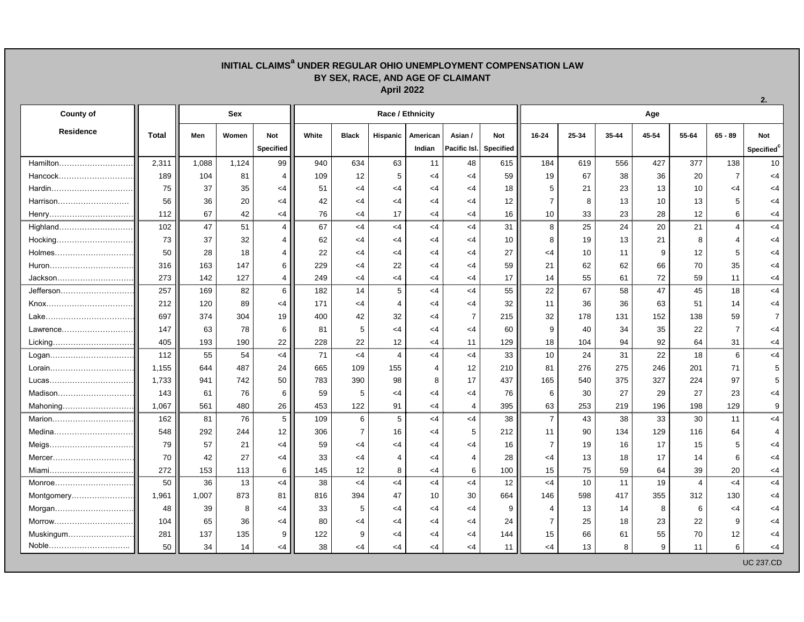## **INITIAL CLAIMS<sup>a</sup> UNDER REGULAR OHIO UNEMPLOYMENT COMPENSATION LAW BY SEX, RACE, AND AGE OF CLAIMANT April 2022**

| <b>County of</b> |              | <b>Sex</b> |       |                  |       |              |          | <b>Race / Ethnicity</b> |                        |            | Age             |       |       |       |                |                |                        |  |  |
|------------------|--------------|------------|-------|------------------|-------|--------------|----------|-------------------------|------------------------|------------|-----------------|-------|-------|-------|----------------|----------------|------------------------|--|--|
| <b>Residence</b> | <b>Total</b> | Men        | Women | <b>Not</b>       | White | <b>Black</b> | Hispanic | American                | Asian /                | <b>Not</b> | 16-24           | 25-34 | 35-44 | 45-54 | 55-64          | $65 - 89$      | <b>Not</b>             |  |  |
|                  |              |            |       | <b>Specified</b> |       |              |          | Indian                  | Pacific Isl. Specified |            |                 |       |       |       |                |                | Specified <sup>c</sup> |  |  |
| Hamilton         | 2,311        | 1,088      | 1,124 | 99               | 940   | 634          | 63       | 11                      | 48                     | 615        | 184             | 619   | 556   | 427   | 377            | 138            | 10 <sup>1</sup>        |  |  |
| Hancock          | 189          | 104        | 81    | 4                | 109   | 12           | 5        | <4                      | $<$ 4                  | 59         | 19              | 67    | 38    | 36    | 20             | $\overline{7}$ | $<$ 4                  |  |  |
|                  | 75           | 37         | 35    | <4               | 51    | <4           | <4       | <4                      | $<$ 4                  | 18         | 5               | 21    | 23    | 13    | 10             | $\leq$ 4       | <4                     |  |  |
| Harrison         | 56           | 36         | 20    | <4               | 42    | <4           | <4       | <4                      | <4                     | 12         |                 |       | 13    | 10    | 13             | 5              | <4                     |  |  |
| Henry            | 112          | 67         | 42    | <4               | 76    | $\leq$ 4     | 17       | $\leq$ 4                | $<$ 4                  | 16         | 10              | 33    | 23    | 28    | 12             | 6              | $<$ 4                  |  |  |
| Highland         | 102          | 47         | 51    | $\overline{4}$   | 67    | $<$ 4        | $<$ 4    | $<$ 4                   | $<$ 4                  | 31         | 8               | 25    | 24    | 20    | 21             | $\overline{4}$ | $<$ 4                  |  |  |
| Hocking          | 73           | 37         | 32    |                  | 62    | <4           | <4       | <4                      | $<$ 4                  | 10         | 8               | 19    | 13    | 21    | 8              |                | $<$ 4                  |  |  |
| Holmes           | 50           | 28         | 18    |                  | 22    | <4           | <4       | <4                      | $\leq$ 4               | 27         | <4              | 10    | 11    | 9     | 12             |                | <4                     |  |  |
| Huron            | 316          | 163        | 147   | 6                | 229   | <4           | 22       | <4                      | <4                     | 59         | 21              | 62    | 62    | 66    | 70             | 35             | <4                     |  |  |
| Jackson          | 273          | 142        | 127   | 4                | 249   | $<$ 4        | $\leq$ 4 | $\leq$ 4                | $<$ 4                  | 17         | 14              | 55    | 61    | 72    | 59             | 11             | $<$ 4                  |  |  |
| Jefferson        | 257          | 169        | 82    | $6\overline{6}$  | 182   | 14           | 5        | $\leq$ 4                | $<$ 4                  | 55         | 22              | 67    | 58    | 47    | 45             | 18             | $<$ 4                  |  |  |
|                  | 212          | 120        | 89    | <4               | 171   | $<$ 4        | 4        | <4                      | <4                     | 32         | 11              | 36    | 36    | 63    | 51             | 14             | $<$ 4                  |  |  |
| Lake             | 697          | 374        | 304   | 19               | 400   | 42           | 32       | <4                      | $\overline{7}$         | 215        | 32              | 178   | 131   | 152   | 138            | 59             | $\overline{7}$         |  |  |
| Lawrence         | 147          | 63         | 78    | 6                | 81    |              | <4       | <4                      | <4                     | 60         | 9               | 40    | 34    | 35    | 22             | 7              | <4                     |  |  |
| Licking          | 405          | 193        | 190   | 22               | 228   | 22           | 12       | $\leq$ 4                | 11                     | 129        | 18              | 104   | 94    | 92    | 64             | 31             | $<$ 4                  |  |  |
| Logan            | 112          | 55         | 54    | $<$ 4            | 71    | $<$ 4        | 4        | $\leq 4$                | $<$ 4                  | 33         | 10 <sup>°</sup> | 24    | 31    | 22    | 18             | 6              | $<$ 4                  |  |  |
| Lorain           | 1,155        | 644        | 487   | 24               | 665   | 109          | 155      | $\overline{4}$          | 12                     | 210        | 81              | 276   | 275   | 246   | 201            | 71             | 5                      |  |  |
| Lucas            | 1,733        | 941        | 742   | 50               | 783   | 390          | 98       | 8                       | 17                     | 437        | 165             | 540   | 375   | 327   | 224            | 97             | 5                      |  |  |
| Madison          | 143          | 61         | 76    | 6                | 59    | 5            | <4       | <4                      | <4                     | 76         | 6               | 30    | 27    | 29    | 27             | 23             | <4                     |  |  |
| Mahoning         | 1,067        | 561        | 480   | 26               | 453   | 122          | 91       | $\leq$ 4                | 4                      | 395        | 63              | 253   | 219   | 196   | 198            | 129            | 9                      |  |  |
| Marion           | 162          | 81         | 76    | 5 <sup>5</sup>   | 109   | 6            | 5        | $\leq$ 4                | $<$ 4                  | 38         | $\overline{7}$  | 43    | 38    | 33    | 30             | 11             | $<$ 4                  |  |  |
| Medina           | 548          | 292        | 244   | 12               | 306   |              | 16       | <4                      |                        | 212        | 11              | 90    | 134   | 129   | 116            | 64             |                        |  |  |
| Meigs            | 79           | 57         | 21    | <4 I             | 59    | -4           | 4>       | <4                      | 4>                     | 16         | $\overline{7}$  | 19    | 16    | 17    | 15             | 5.             | -4                     |  |  |
| Mercer           | 70           | 42         | 27    | <4               | 33    | $\leq$ 4     |          | <4                      | 4                      | 28         | <4              | 13    | 18    | 17    | 14             | 6              | $<$ 4                  |  |  |
| Miami            | 272          | 153        | 113   | 6                | 145   | 12           | 8        | $<$ 4                   | 6                      | 100        | 15              | 75    | 59    | 64    | 39             | 20             | $<$ 4                  |  |  |
| Monroe           | 50           | 36         | 13    | $<$ 4            | 38    | $<$ 4        | $<$ 4    | $<$ 4                   | $<$ 4                  | 12         | $<$ 4           | 10    | 11    | 19    | $\overline{4}$ | $<$ 4          | $<$ 4                  |  |  |
| Montgomery       | 1,961        | 1,007      | 873   | 81               | 816   | 394          | 47       | 10                      | 30                     | 664        | 146             | 598   | 417   | 355   | 312            | 130            | $<$ 4                  |  |  |
| Morgan           | 48           | 39         | 8     | $<$ 4            | 33    | 5            | $\leq$ 4 | <4                      | $<$ 4                  | 9          | 4               | 13    | 14    | 8     | 6              | $<$ 4          | $<$ 4                  |  |  |
| Morrow           | 104          | 65         | 36    | $<$ 4            | 80    | <4           | <4       | <4                      | $<$ 4                  | 24         | 7               | 25    | 18    | 23    | 22             | 9              | $<$ 4                  |  |  |
| Muskingum        | 281          | 137        | 135   | 9                | 122   | 9            | <4       | <4                      | $<$ 4                  | 144        | 15              | 66    | 61    | 55    | 70             | 12             | $<$ 4                  |  |  |
| Noble            | 50           | 34         | 14    | $<$ 4            | 38    | $<$ 4        | $<$ 4    | $<$ 4                   | $<$ 4                  | 11         | $<$ 4           | 13    | 8     | 9     | 11             | 6 <sup>1</sup> | $<$ 4                  |  |  |
|                  |              |            |       |                  |       |              |          |                         |                        |            |                 |       |       |       |                |                | <b>UC 237.CD</b>       |  |  |

**2.**